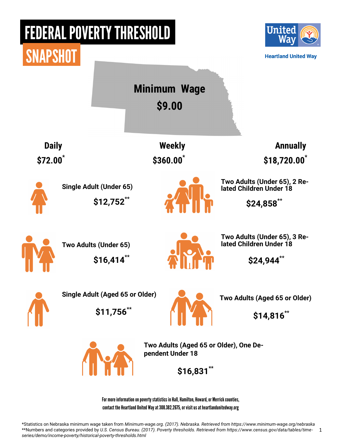### FEDERAL POVERTY THRESHOLD Unitec **SNAPSHOT Heartland United Way Minimum Wage \$9.00 Daily Baily Contract Contract Contract Contract Contract Contract Contract Contract Contract Contract Contract Contract Contract Contract Contract Contract Contract Contract Contract Contract Contract Contract Contract \$72.00\* \$360.00\* \$18,720.00\***

**Single Adult (Under 65) \$12,752\*\***



**Two Adults (Under 65), 2 Related Children Under 18**

 **\$24,858\*\***

**Two Adults (Under 65) \$16,414\*\***



**Two Adults (Under 65), 3 Related Children Under 18**

 **\$24,944\*\***

**Single Adult (Aged 65 or Older) \$11,756\*\***



**Two Adults (Aged 65 or Older)**

 **\$14,816\*\***



**Two Adults (Aged 65 or Older), One Dependent Under 18**

 **\$16,831\*\***

For more information on poverty statistics in Hall, Hamilton, Howard, or Merrick counties, contact the Heartland United Way at 308.382.2675, or visit us at heartlandunitedway.org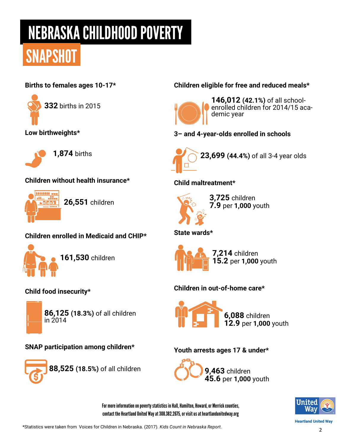## NEBRASKA CHILDHOOD POVERTY

## **SNAPSHOT**

#### **Births to females ages 10-17\***



**Low birthweights\***



**1,874** births

#### **Children without health insurance\***



**26,551** children

#### **Children enrolled in Medicaid and CHIP\***



**161,530** children

### **Child food insecurity\***



**86,125 (18.3%)** of all children in 2014

#### **SNAP participation among children\***



**88,525 (18.5%)** of all children

#### **Children eligible for free and reduced meals\***



**146,012 (42.1%)** of all schoolenrolled children for 2014/15 academic year

**3– and 4-year-olds enrolled in schools**



**23,699 (44.4%)** of all 3-4 year olds

**Child maltreatment\***



**3,725** children **7.9** per **1,000** youth

#### **State wards\***



#### **Children in out-of-home care\***



#### **Youth arrests ages 17 & under\***



For more information on poverty statistics in Hall, Hamilton, Howard, or Merrick counties, contact the Heartland United Way at 308.382.2675, or visit us at heartlandunitedway.org



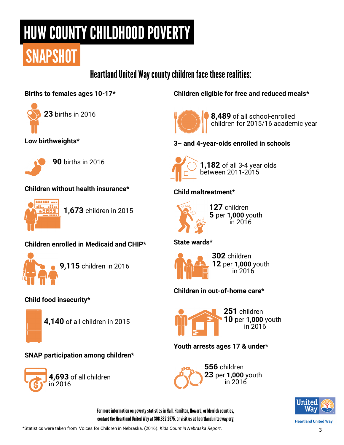# HUW COUNTY CHILDHOOD POVERTY

# **SNAPSHOT**

Heartland United Way county children face these realities:

#### **Births to females ages 10-17\***



**Low birthweights\***



**90** births in 2016

#### **Children without health insurance\***



**1,673** children in 2015

#### **Children enrolled in Medicaid and CHIP\***



**Child food insecurity\***



**4,140** of all children in 2015

#### **SNAP participation among children\***



**Children eligible for free and reduced meals\***



**8,489** of all school-enrolled children for 2015/16 academic year

**3– and 4-year-olds enrolled in schools**



**1,182** of all 3-4 year olds between 2011-2015

#### **Child maltreatment\***



**127** children **5** per **1,000** youth in 2016

#### **State wards\***



**302** children **12** per **1,000** youth in 2016

#### **Children in out-of-home care\***



#### **Youth arrests ages 17 & under\***





**Heartland United Way** 

For more information on poverty statistics in Hall, Hamilton, Howard, or Merrick counties, contact the Heartland United Way at 308.382.2675, or visit us at heartlandunitedway.org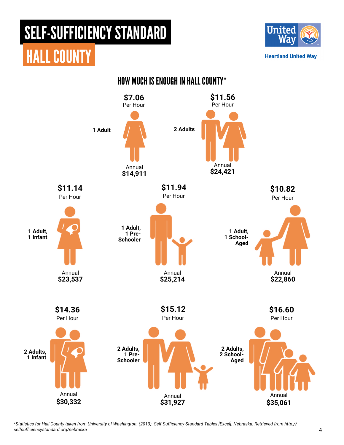HALL COUNTY



**Heartland United Way** 



HOW MUCH IS ENOUGH IN HALL COUNTY\*

*\*Statistics for Hall County taken from University of Washington. (2010). Self-Sufficiency Standard Tables [Excel]. Nebraska. Retrieved from http:// selfsufficiencystandard.org/nebraska*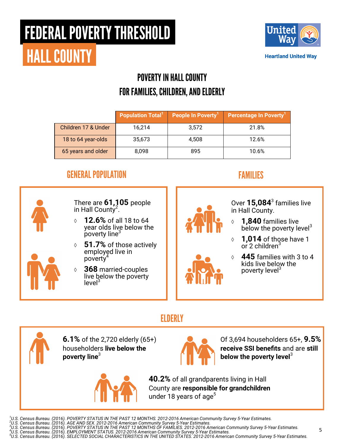# FEDERAL POVERTY THRESHOLD HALL COUNTY



**Heartland United Way** 

### POVERTY IN HALL COUNTY FOR FAMILIES, CHILDREN, AND ELDERLY

|                     | <b>Population Total</b> <sup>1</sup> | People In Poverty <sup>1</sup> | Percentage In Poverty <sup>1</sup> |
|---------------------|--------------------------------------|--------------------------------|------------------------------------|
| Children 17 & Under | 16,214                               | 3,572                          | 21.8%                              |
| 18 to 64 year-olds  | 35,673                               | 4.508                          | 12.6%                              |
| 65 years and older  | 8.098                                | 895                            | 10.6%                              |

### GENERAL POPULATION FAMILIES



There are **61,105** people in Hall County<sup>2</sup>.

- **12.6%** of all 18 to 64 year olds live below the poverty line<sup>3</sup>
- **51.7%** of those actively employed live in poverty<sup>4</sup>
- **368** married-couples live below the poverty  $level<sup>3</sup>$



Over **15,084**<sup>3</sup> families live in Hall County.

- **1,840** families live below the poverty level<sup>3</sup>
- **1,014** of those have 1 or 2 children $3$
- **445** families with 3 to 4 kids live below the poverty level<sup>3</sup>

Of 3,694 householders 65+, **9.5% receive SSI benefits** and are **still** 

**below the poverty level**<sup>3</sup>

### **ELDERLY**



**6.1%** of the 2,720 elderly (65+) householders **live below the poverty line**<sup>3</sup>



**40.2%** of all grandparents living in Hall County are **responsible for grandchildren**  under 18 years of age<sup>5</sup>

- 
- <sup>1</sup>U.S. Census Bureau. (2016). POVERTY STATUS IN THE PAST 12 MONTHS. 2012-2016 American Community Survey 5-Year Estimates.<br><sup>2</sup>U.S. Census Bureau. (2016). AGE AND SEX. 2012-2016 American Community Survey 5-Year Estimates.<br><sup></sup>
-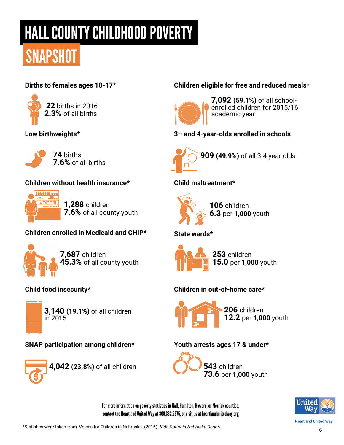# HALL COUNTY CHILDHOOD POVERTY

# **SNAPSHOT**

#### **Births to females ages 10-17\***



#### **Low birthweights\***



**74** births **7.6%** of all births

#### **Children without health insurance\***



**1,288** children **7.6%** of all county youth

#### **Children enrolled in Medicaid and CHIP\***



**7,687** children **45.3%** of all county youth

### **Child food insecurity\***



**3,140 (19.1%)** of all children in 2015

### **SNAP participation among children\***



**4,042 (23.8%)** of all children

#### **Children eligible for free and reduced meals\***



**7,092 (59.1%)** of all schoolenrolled children for 2015/16 academic year

**3– and 4-year-olds enrolled in schools**



**909 (49.9%)** of all 3-4 year olds

**Child maltreatment\***



**106** children **6.3** per **1,000** youth

#### **State wards\***



#### **Children in out-of-home care\***



#### **Youth arrests ages 17 & under\***



For more information on poverty statistics in Hall, Hamilton, Howard, or Merrick counties, contact the Heartland United Way at 308.382.2675, or visit us at heartlandunitedway.org



**Heartland United Way**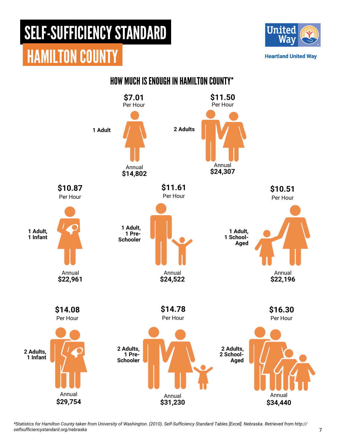

**Heartland United Way** 



*\*Statistics for Hamilton County taken from University of Washington. (2010). Self-Sufficiency Standard Tables [Excel]. Nebraska. Retrieved from http:// selfsufficiencystandard.org/nebraska*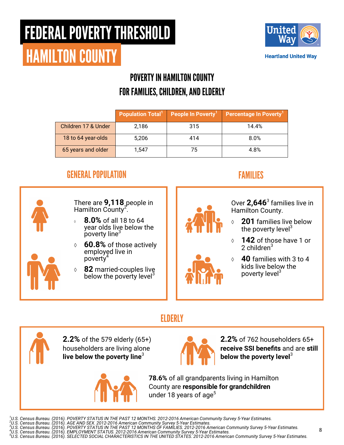### FEDERAL POVERTY THRESHOLD HAMILTON COUNTY



### POVERTY IN HAMILTON COUNTY FOR FAMILIES, CHILDREN, AND ELDERLY

|                     | <b>Population Total</b> <sup>1</sup> | People In Poverty <sup>1</sup> | Percentage In Poverty <sup>1</sup> |
|---------------------|--------------------------------------|--------------------------------|------------------------------------|
| Children 17 & Under | 2.186                                | 315                            | 14.4%                              |
| 18 to 64 year-olds  | 5.206                                | 414                            | 8.0%                               |
| 65 years and older  | 1.547                                | 75                             | 4.8%                               |

### GENERAL POPULATION FAMILIES



There are **9,118** people in Hamilton County<sup>2'</sup>.

- **8.0%** of all 18 to 64 year olds live below the  $p$  poverty line<sup>3</sup>
- **60.8%** of those actively employed live in poverty
- **82** married-couples live below the poverty level<sup>3</sup>



Over **2,646**<sup>3</sup> families live in Hamilton County.

- **201** families live below the poverty level<sup>3</sup>
- **142** of those have 1 or 2 children $3$
- **40** families with 3 to 4 kids live below the poverty level<sup>3</sup>

### **ELDERLY**



**2.2%** of the 579 elderly (65+) householders are living alone **live below the poverty line**<sup>3</sup>





**2.2%** of 762 householders 65+ **receive SSI benefits** and are **still below the poverty level**<sup>3</sup>

**78.6%** of all grandparents living in Hamilton County are **responsible for grandchildren**  under 18 years of age $<sup>5</sup>$ </sup>

<sup>1</sup>U.S. Census Bureau. (2016). POVERTY STATUS IN THE PAST 12 MONTHS. 2012-2016 American Community Survey 5-Year Estimates.<br><sup>2</sup>U.S. Census Bureau. (2016). AGE AND SEX. 2012-2016 American Community Survey 5-Year Estimates.<br><sup></sup>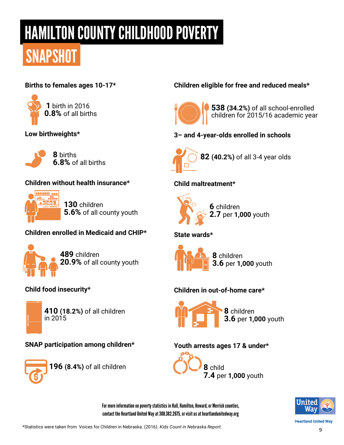# HAMILTON COUNTY CHILDHOOD POVERTY

# **SNAPSHOT**

#### **Births to females ages 10-17\***



#### **Low birthweights\***



**8** births **6.8%** of all births

#### **Children without health insurance\***



**130** children **5.6%** of all county youth

#### **Children enrolled in Medicaid and CHIP\***



**489** children **20.9%** of all county youth

### **Child food insecurity\***



**410 (18.2%)** of all children in 2015

#### **SNAP participation among children\***



**196 (8.4%)** of all children

#### **Children eligible for free and reduced meals\***



**538 (34.2%)** of all school-enrolled children for 2015/16 academic year

**3– and 4-year-olds enrolled in schools**



**82 (40.2%)** of all 3-4 year olds

#### **Child maltreatment\***



#### **State wards\***



#### **Children in out-of-home care\***



#### **Youth arrests ages 17 & under\***



For more information on poverty statistics in Hall, Hamilton, Howard, or Merrick counties, contact the Heartland United Way at 308.382.2675, or visit us at heartlandunitedway.org



**Heartland United Way**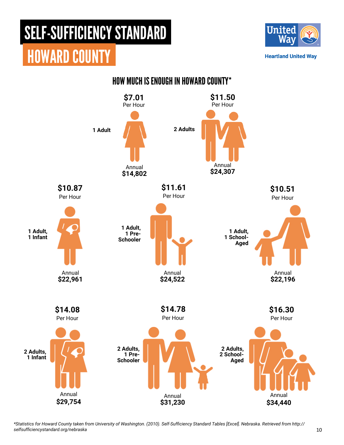

**Heartland United Way** 



*\*Statistics for Howard County taken from University of Washington. (2010). Self-Sufficiency Standard Tables [Excel]. Nebraska. Retrieved from http:// selfsufficiencystandard.org/nebraska*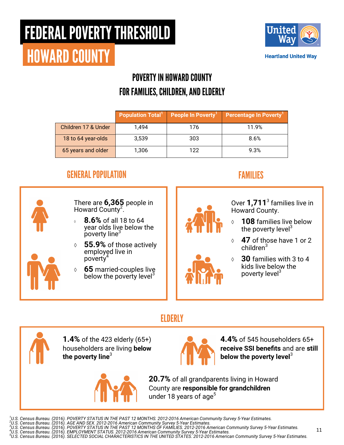# FEDERAL POVERTY THRESHOLD



# HOWARD COUNTY

### POVERTY IN HOWARD COUNTY FOR FAMILIES, CHILDREN, AND ELDERLY

|                     | <b>Population Total</b> <sup>1</sup> | People In Poverty | <b>Percentage In Poverty</b> |
|---------------------|--------------------------------------|-------------------|------------------------------|
| Children 17 & Under | 1.494                                | 176               | 11.9%                        |
| 18 to 64 year-olds  | 3.539                                | 303               | 8.6%                         |
| 65 years and older  | 1,306                                | 122               | 9.3%                         |

### GENERAL POPULATION FAMILIES



There are **6,365** people in Howard County<sup>2</sup>.

- **8.6%** of all 18 to 64 year olds live below the poverty line<sup>3</sup>
- **55.9%** of those actively employed live in poverty
- **65** married-couples live below the poverty level<sup>3</sup>



Over **1,711**<sup>3</sup> families live in Howard County.

- **108** families live below the poverty  $|$ evel $3$
- **47** of those have 1 or 2 children<sup>3</sup>
- **30** families with 3 to 4 kids live below the poverty level<sup>3</sup>

### **ELDERLY**



**1.4%** of the 423 elderly (65+) householders are living **below the poverty line**<sup>3</sup>



**4.4%** of 545 householders 65+ **receive SSI benefits** and are **still below the poverty level**<sup>3</sup>

**20.7%** of all grandparents living in Howard County are **responsible for grandchildren**  under 18 years of age<sup>5</sup>

- 
- 

<sup>1</sup>U.S. Census Bureau. (2016). POVERTY STATUS IN THE PAST 12 MONTHS. 2012-2016 American Community Survey 5-Year Estimates.<br><sup>2</sup>U.S. Census Bureau. (2016). AGE AND SEX. 2012-2016 American Community Survey 5-Year Estimates.<br><sup></sup>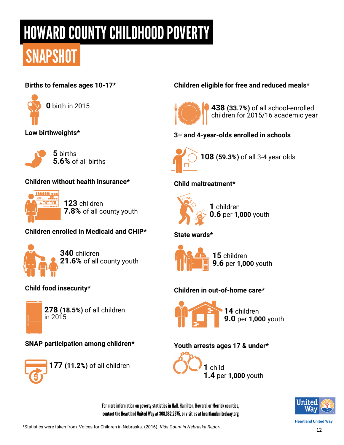# HOWARD COUNTY CHILDHOOD POVERTY

# **SNAPSHOT**

#### **Births to females ages 10-17\***



**Low birthweights\***



**5** births **5.6%** of all births

#### **Children without health insurance\***



**123** children **7.8%** of all county youth

#### **Children enrolled in Medicaid and CHIP\***



**340** children **21.6%** of all county youth

### **Child food insecurity\***



**278 (18.5%)** of all children in 2015

#### **SNAP participation among children\***



**177 (11.2%)** of all children

#### **Children eligible for free and reduced meals\***



**438 (33.7%)** of all school-enrolled children for 2015/16 academic year

**3– and 4-year-olds enrolled in schools**



**108 (59.3%)** of all 3-4 year olds

#### **Child maltreatment\***



**1** children **0.6** per **1,000** youth

#### **State wards\***



#### **Children in out-of-home care\***



#### **Youth arrests ages 17 & under\***



For more information on poverty statistics in Hall, Hamilton, Howard, or Merrick counties, contact the Heartland United Way at 308.382.2675, or visit us at heartlandunitedway.org



**Heartland United Way**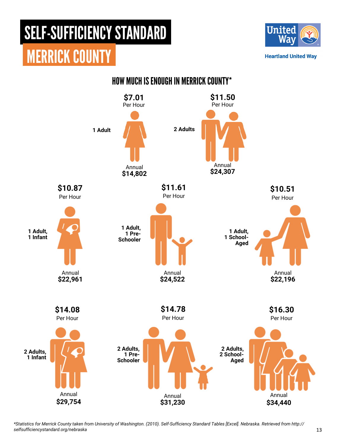

**Heartland United Way** 



*\*Statistics for Merrick County taken from University of Washington. (2010). Self-Sufficiency Standard Tables [Excel]. Nebraska. Retrieved from http:// selfsufficiencystandard.org/nebraska*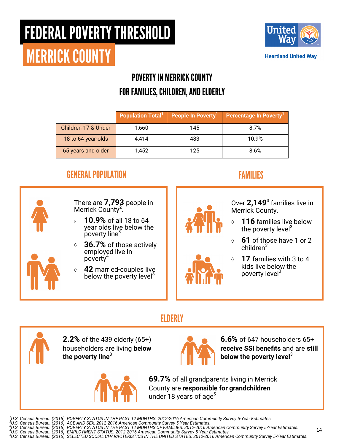# FEDERAL POVERTY THRESHOLD



# MERRICK COUNTY

### POVERTY IN MERRICK COUNTY FOR FAMILIES, CHILDREN, AND ELDERLY

|                     |       | <b>Population Total<sup>1</sup></b> People In Poverty <sup>1</sup> | Percentage In Poverty <sup>1</sup> |
|---------------------|-------|--------------------------------------------------------------------|------------------------------------|
| Children 17 & Under | 1,660 | 145                                                                | 8.7%                               |
| 18 to 64 year-olds  | 4.414 | 483                                                                | 10.9%                              |
| 65 years and older  | 1,452 | 125                                                                | 8.6%                               |

### GENERAL POPULATION FAMILIES



There are **7,793** people in Merrick County<sup>2</sup>.

- **10.9%** of all 18 to 64 year olds live below the poverty line<sup>3</sup>
- **36.7%** of those actively employed live in poverty
- **42** married-couples live below the poverty level<sup>3</sup>



Over **2,149**<sup>3</sup> families live in Merrick County.

- **116** families live below the poverty  $|$ evel $3$
- **61** of those have 1 or 2 children<sup>3</sup>
- **17** families with 3 to 4 kids live below the poverty level<sup>3</sup>

### **ELDERLY**



**2.2%** of the 439 elderly (65+) householders are living **below the poverty line**<sup>3</sup>



**6.6%** of 647 householders 65+ **receive SSI benefits** and are **still below the poverty level**<sup>3</sup>

**69.7%** of all grandparents living in Merrick County are **responsible for grandchildren**  under 18 years of age<sup>5</sup>

<sup>1</sup>U.S. Census Bureau. (2016). POVERTY STATUS IN THE PAST 12 MONTHS. 2012-2016 American Community Survey 5-Year Estimates.<br><sup>2</sup>U.S. Census Bureau. (2016). AGE AND SEX. 2012-2016 American Community Survey 5-Year Estimates.<br><sup></sup>